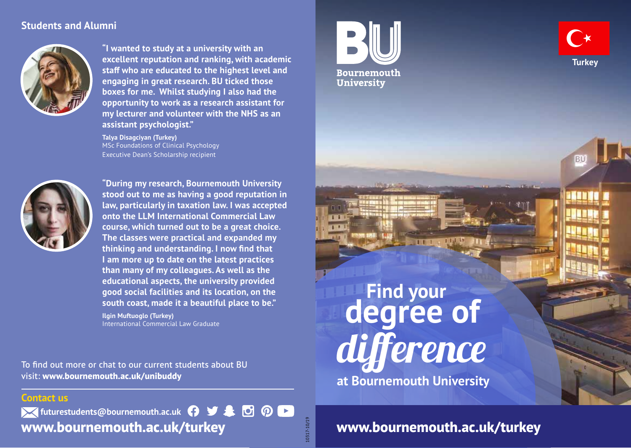## **Students and Alumni**



**"I wanted to study at a university with an excellent reputation and ranking, with academic staff who are educated to the highest level and engaging in great research. BU ticked those boxes for me. Whilst studying I also had the opportunity to work as a research assistant for my lecturer and volunteer with the NHS as an assistant psychologist."**

**Talya Disagciyan (Turkey)** MSc Foundations of Clinical Psychology Executive Dean's Scholarship recipient



**"During my research, Bournemouth University stood out to me as having a good reputation in law, particularly in taxation law. I was accepted onto the LLM International Commercial Law course, which turned out to be a great choice. The classes were practical and expanded my thinking and understanding. I now find that I am more up to date on the latest practices than many of my colleagues. As well as the educational aspects, the university provided good social facilities and its location, on the south coast, made it a beautiful place to be."**

**Ilgin Muftuoglo (Turkey)** International Commercial Law Graduate

To find out more or chat to our current students about BU visit: **www.bournemouth.ac.uk/unibuddy**

### **Contact us**

*K* futurestudents@bournemouth.ac.uk  $\bigcap$   $\bigcup$   $\bigtriangleup$   $\bigtriangleup$   $\bigodot$   $\bigodot$ **www.bournemouth.ac.uk/turkey**





BU

**Find your at Bournemouth University** difference **degree of**

10317-10/19

10317-10/19

**www.bournemouth.ac.uk/turkey**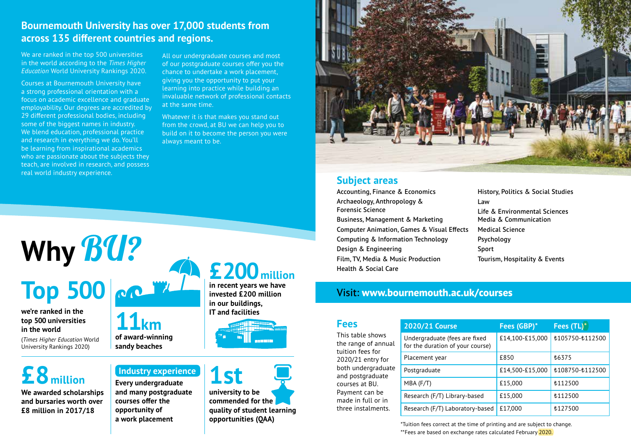## **Bournemouth University has over 17,000 students from across 135 different countries and regions.**

**11km**

**of award-winning sandy beaches**

**Every undergraduate and many postgraduate courses offer the opportunity of a work placement**

We are ranked in the top 500 universities in the world according to the *Times Higher Education* World University Rankings 2020.

Courses at Bournemouth University have a strong professional orientation with a focus on academic excellence and graduate employability. Our degrees are accredited by 29 different professional bodies, including some of the biggest names in industry. We blend education, professional practice and research in everything we do. You'll be learning from inspirational academics who are passionate about the subjects they teach, are involved in research, and possess real world industry experience.

All our undergraduate courses and most of our postgraduate courses offer you the chance to undertake a work placement, giving you the opportunity to put your learning into practice while building an invaluable network of professional contacts at the same time.

Whatever it is that makes you stand out from the crowd, at BU we can help you to build on it to become the person you were always meant to be.

# **Why** BU? **Top 500**

#### **we're ranked in the top 500 universities in the world**

(*Times Higher Education* World University Rankings 2020)

## **£8million**

**We awarded scholarships and bursaries worth over £8 million in 2017/18**

## **£200million in recent years we have**

**invested £200 million in our buildings, IT and facilities**



**university to be commended for the quality of student learning opportunities (QAA) Industry experience 1st** 



### **Subject areas**

Accounting, Finance & Economics Archaeology, Anthropology & Forensic Science Business, Management & Marketing Computer Animation, Games & Visual Effects Computing & Information Technology Design & Engineering Film, TV, Media & Music Production Health & Social Care

History, Politics & Social Studies Law Life & Environmental Sciences Media & Communication Medical Science Psychology Sport Tourism, Hospitality & Events

## Visit: **www.bournemouth.ac.uk/courses**

| <b>Fees</b>         |
|---------------------|
| This table shows    |
| the range of annual |
| tuition fees for    |
| 2020/21 entry for   |
| both undergraduate  |
| and postgraduate    |
| courses at BU.      |
| Payment can be      |
| made in full or in  |
| three instalments.  |
|                     |

|               | 2020/21 Course                                                    | Fees (GBP)*     | Fees (TL)*      |
|---------------|-------------------------------------------------------------------|-----------------|-----------------|
| ual           | Undergraduate (fees are fixed<br>for the duration of your course) | £14,100-£15,000 | £105750-£112500 |
| r<br>ate<br>Ê | Placement year                                                    | £850            | <b>£6375</b>    |
|               | Postgraduate                                                      | £14,500-£15,000 | £108750-£112500 |
|               | $MBA$ (F/T)                                                       | £15,000         | <b>£112500</b>  |
| s.            | Research (F/T) Library-based                                      | £15,000         | £112500         |
|               | Research (F/T) Laboratory-based                                   | £17,000         | £127500         |

\*Tuition fees correct at the time of printing and are subject to change. \*\*Fees are based on exchange rates calculated February 2020.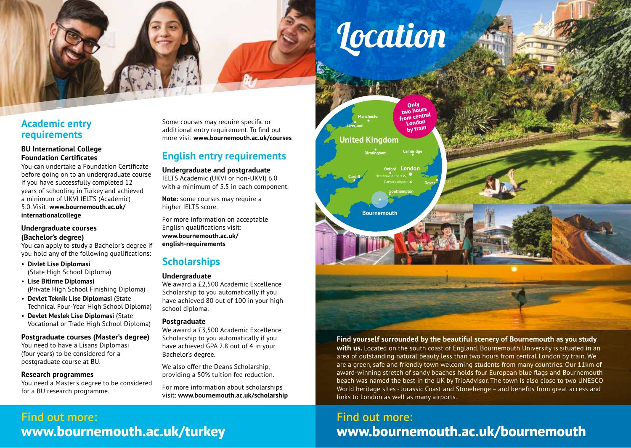# **Location**

## **Academic entry requirements**

#### **BU International College Foundation Certificates**

You can undertake a Foundation Certificate before going on to an undergraduate course if you have successfully completed 12 years of schooling in Turkey and achieved a minimum of UKVI IELTS (Academic) 5.0. Visit: **www.bournemouth.ac.uk/ internationalcollege**

#### **Undergraduate courses (Bachelor's degree)**

You can apply to study a Bachelor's degree if you hold any of the following qualifications:

- **Divlet Lise Diplomasi** (State High School Diploma)
- **Lise Bitirme Diplomasi**  (Private High School Finishing Diploma)
- **Devlet Teknik Lise Diplomasi** (State Technical Four-Year High School Diploma)
- **Devlet Meslek Lise Diplomasi** (State Vocational or Trade High School Diploma)

#### **Postgraduate courses (Master's degree)**

You need to have a Lisans Diplomasi (four years) to be considered for a postgraduate course at BU.

#### **Research programmes**

You need a Master's degree to be considered for a BU research programme.

Some courses may require specific or additional entry requirement. To find out more visit **www.bournemouth.ac.uk/courses**

## **English entry requirements**

#### **Undergraduate and postgraduate**

IELTS Academic (UKVI or non-UKVI) 6.0 with a minimum of 5.5 in each component.

**Note:** some courses may require a higher IELTS score.

For more information on acceptable English qualifications visit: **www.bournemouth.ac.uk/ english-requirements**

## **Scholarships**

#### **Undergraduate**

We award a £2,500 Academic Excellence Scholarship to you automatically if you have achieved 80 out of 100 in your high school diploma.

#### **Postgraduate**

We award a £3,500 Academic Excellence Scholarship to you automatically if you have achieved GPA 2.8 out of 4 in your Bachelor's degree.

We also offer the Deans Scholarship. providing a 50% tuition fee reduction.

For more information about scholarships visit: **www.bournemouth.ac.uk/scholarship**



#### **Find yourself surrounded by the beautiful scenery of Bournemouth as you study**

**with us.** Located on the south coast of England, Bournemouth University is situated in an area of outstanding natural beauty less than two hours from central London by train. We are a green, safe and friendly town welcoming students from many countries. Our 11km of award-winning stretch of sandy beaches holds four European blue flags and Bournemouth beach was named the best in the UK by TripAdvisor. The town is also close to two UNESCO World heritage sites - Jurassic Coast and Stonehenge – and benefits from great access and links to London as well as many airports.

## Find out more: **www.bournemouth.ac.uk/bournemouth**

## Find out more: **www.bournemouth.ac.uk/turkey**